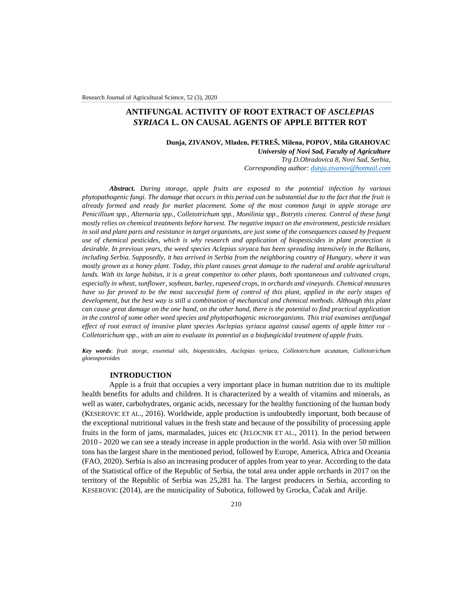Research Journal of Agricultural Science, 52 (3), 2020

# **ANTIFUNGAL ACTIVITY OF ROOT EXTRACT OF** *ASCLEPIAS SYRIACA* **L. ON CAUSAL AGENTS OF APPLE BITTER ROT**

**Dunja, ZIVANOV, Mladen, PETREŠ, Milena, POPOV, Mila GRAHOVAC** *University of Novi Sad, Faculty of Agriculture Trg D.Obradovica 8, Novi Sad, Serbia, Corresponding author: [dunja.zivanov@hotmail.com](mailto:dunja.zivanov@hotmail.com)*

*Abstract. During storage, apple fruits are exposed to the potential infection by various phytopathogenic fungi. The damage that occurs in this period can be substantial due to the fact that the fruit is already formed and ready for market placement. Some of the most common fungi in apple storage are Penicillium spp., Alternaria spp., Colletotrichum spp., Monilinia spp., Botrytis cinerea. Control of these fungi mostly relies on chemical treatments before harvest. The negative impact on the environment, pesticide residues in soil and plant parts and resistance in target organisms, are just some of the consequences caused by frequent use of chemical pesticides, which is why research and application of biopesticides in plant protection is desirable. In previous years, the weed species Aclepias siryaca has been spreading intensively in the Balkans, including Serbia. Supposedly, it has arrived in Serbia from the neighboring country of Hungary, where it was mostly grown as a honey plant. Today, this plant causes great damage to the ruderal and arable agricultural* lands. With its large habitus, it is a great competitor to other plants, both spontaneous and cultivated crops, *especially in wheat, sunflower, soybean, barley, rapeseed crops, in orchards and vineyards. Chemical measures have so far proved to be the most successful form of control of this plant, applied in the early stages of development, but the best way is still a combination of mechanical and chemical methods. Although this plant can cause great damage on the one hand, on the other hand, there is the potential to find practical application in the control of some other weed species and phytopathogenic microorganisms. This trial examines antifungal effect of root extract of invasive plant species Asclepias syriaca against causal agents of apple bitter rot – Colletotrichum spp., with an aim to evaluate its potential as a biofungicidal treatment of apple fruits.*

*Key words*: *fruit storge, essential oils, biopesticides, Asclepias syriaca, Colletotrichum acutatum, Colletotrichum gloeosporoides*

# **INTRODUCTION**

Apple is a fruit that occupies a very important place in human nutrition due to its multiple health benefits for adults and children. It is characterized by a wealth of vitamins and minerals, as well as water, carbohydrates, organic acids, necessary for the healthy functioning of the human body (KESEROVIC ET AL., 2016). Worldwide, apple production is undoubtedly important, both because of the exceptional nutritional values in the fresh state and because of the possibility of processing apple fruits in the form of jams, marmalades, juices etc (JELOCNIK ET AL., 2011). In the period between 2010 - 2020 we can see a steady increase in apple production in the world. Asia with over 50 million tons has the largest share in the mentioned period, followed by Europe, America, Africa and Oceania (FAO, 2020). Serbia is also an increasing producer of apples from year to year. According to the data of the Statistical office of the Republic of Serbia, the total area under apple orchards in 2017 on the territory of the Republic of Serbia was 25,281 ha. The largest producers in Serbia, according to KESEROVIC (2014), are the municipality of Subotica, followed by Grocka, Čačak and Arilje.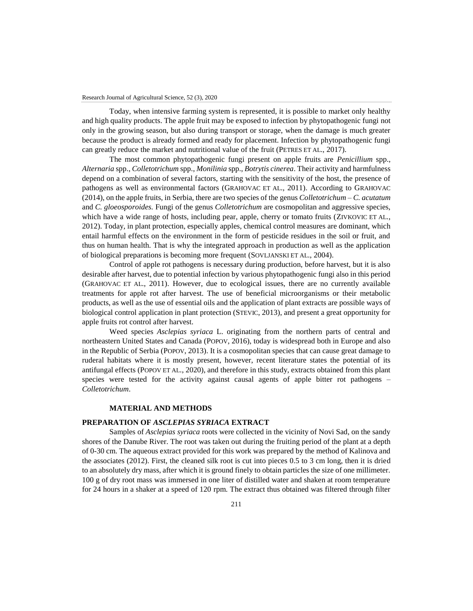Today, when intensive farming system is represented, it is possible to market only healthy and high quality products. The apple fruit may be exposed to infection by phytopathogenic fungi not only in the growing season, but also during transport or storage, when the damage is much greater because the product is already formed and ready for placement. Infection by phytopathogenic fungi can greatly reduce the market and nutritional value of the fruit (PETRES ET AL., 2017).

The most common phytopathogenic fungi present on apple fruits are *Penicillium* spp., *Alternaria* spp., *Colletotrichum* spp., *Monilinia* spp., *Botrytis cinerea*. Their activity and harmfulness depend on a combination of several factors, starting with the sensitivity of the host, the presence of pathogens as well as environmental factors (GRAHOVAC ET AL., 2011). According to GRAHOVAC (2014), on the apple fruits, in Serbia, there are two species of the genus *Colletotrichum* – *C. acutatum* and *C. gloeosporoides.* Fungi of the genus *Colletotrichum* are cosmopolitan and aggressive species, which have a wide range of hosts, including pear, apple, cherry or tomato fruits (ZIVKOVIC ET AL., 2012). Today, in plant protection, especially apples, chemical control measures are dominant, which entail harmful effects on the environment in the form of pesticide residues in the soil or fruit, and thus on human health. That is why the integrated approach in production as well as the application of biological preparations is becoming more frequent (SOVLJANSKI ET AL., 2004).

Control of apple rot pathogens is necessary during production, before harvest, but it is also desirable after harvest, due to potential infection by various phytopathogenic fungi also in this period (GRAHOVAC ET AL., 2011). However, due to ecological issues, there are no currently available treatments for apple rot after harvest. The use of beneficial microorganisms or their metabolic products, as well as the use of essential oils and the application of plant extracts are possible ways of biological control application in plant protection (STEVIC, 2013), and present a great opportunity for apple fruits rot control after harvest.

Weed species *Asclepias syriaca* L. originating from the northern parts of central and northeastern United States and Canada (POPOV, 2016), today is widespread both in Europe and also in the Republic of Serbia (POPOV, 2013). It is a cosmopolitan species that can cause great damage to ruderal habitats where it is mostly present, however, recent literature states the potential of its antifungal effects (POPOV ET AL., 2020), and therefore in this study, extracts obtained from this plant species were tested for the activity against causal agents of apple bitter rot pathogens – *Colletotrichum*.

## **MATERIAL AND METHODS**

### **PREPARATION OF** *ASCLEPIAS SYRIACA* **EXTRACT**

Samples of *Asclepias syriaca* roots were collected in the vicinity of Novi Sad, on the sandy shores of the Danube River. The root was taken out during the fruiting period of the plant at a depth of 0-30 cm. The aqueous extract provided for this work was prepared by the method of Kalinova and the associates (2012). First, the cleaned silk root is cut into pieces 0.5 to 3 cm long, then it is dried to an absolutely dry mass, after which it is ground finely to obtain particles the size of one millimeter. 100 g of dry root mass was immersed in one liter of distilled water and shaken at room temperature for 24 hours in a shaker at a speed of 120 rpm. The extract thus obtained was filtered through filter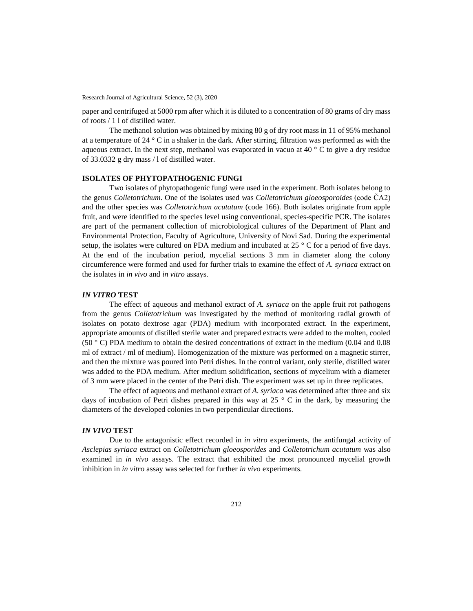paper and centrifuged at 5000 rpm after which it is diluted to a concentration of 80 grams of dry mass of roots / 1 l of distilled water.

The methanol solution was obtained by mixing 80 g of dry root mass in 11 of 95% methanol at a temperature of 24 ° C in a shaker in the dark. After stirring, filtration was performed as with the aqueous extract. In the next step, methanol was evaporated in vacuo at 40  $\degree$  C to give a dry residue of 33.0332 g dry mass / l of distilled water.

# **ISOLATES OF PHYTOPATHOGENIC FUNGI**

Two isolates of phytopathogenic fungi were used in the experiment. Both isolates belong to the genus *Colletotrichum*. One of the isolates used was *Colletotrichum gloeosporoides* (code ČA2) and the other species was *Colletotrichum acutatum* (code 166). Both isolates originate from apple fruit, and were identified to the species level using conventional, species-specific PCR. The isolates are part of the permanent collection of microbiological cultures of the Department of Plant and Environmental Protection, Faculty of Agriculture, University of Novi Sad. During the experimental setup, the isolates were cultured on PDA medium and incubated at 25  $\degree$  C for a period of five days. At the end of the incubation period, mycelial sections 3 mm in diameter along the colony circumference were formed and used for further trials to examine the effect of *A. syriaca* extract on the isolates in *in vivo* and *in vitro* assays.

### *IN VITRO* **TEST**

The effect of aqueous and methanol extract of *A. syriaca* on the apple fruit rot pathogens from the genus *Colletotrichum* was investigated by the method of monitoring radial growth of isolates on potato dextrose agar (PDA) medium with incorporated extract. In the experiment, appropriate amounts of distilled sterile water and prepared extracts were added to the molten, cooled (50 ° C) PDA medium to obtain the desired concentrations of extract in the medium (0.04 and 0.08 ml of extract / ml of medium). Homogenization of the mixture was performed on a magnetic stirrer, and then the mixture was poured into Petri dishes. In the control variant, only sterile, distilled water was added to the PDA medium. After medium solidification, sections of mycelium with a diameter of 3 mm were placed in the center of the Petri dish. The experiment was set up in three replicates.

The effect of aqueous and methanol extract of *A. syriaca* was determined after three and six days of incubation of Petri dishes prepared in this way at  $25^\circ$  C in the dark, by measuring the diameters of the developed colonies in two perpendicular directions.

# *IN VIVO* **TEST**

Due to the antagonistic effect recorded in *in vitro* experiments, the antifungal activity of *Asclepias syriaca* extract on *Colletotrichum gloeosporides* and *Colletotrichum acutatum* was also examined in *in vivo* assays. The extract that exhibited the most pronounced mycelial growth inhibition in *in vitro* assay was selected for further *in vivo* experiments.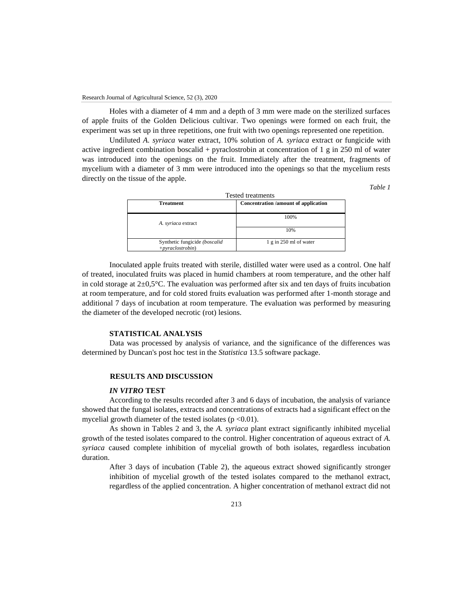Holes with a diameter of 4 mm and a depth of 3 mm were made on the sterilized surfaces of apple fruits of the Golden Delicious cultivar. Two openings were formed on each fruit, the experiment was set up in three repetitions, one fruit with two openings represented one repetition.

Undiluted *A. syriaca* water extract, 10% solution of *A. syriaca* extract or fungicide with active ingredient combination boscalid + pyraclostrobin at concentration of 1 g in 250 ml of water was introduced into the openings on the fruit. Immediately after the treatment, fragments of mycelium with a diameter of 3 mm were introduced into the openings so that the mycelium rests directly on the tissue of the apple.

*Table 1*

| <b>Tested treatments</b>                            |                                      |  |
|-----------------------------------------------------|--------------------------------------|--|
| <b>Treatment</b>                                    | Concentration /amount of application |  |
| A. syriaca extract                                  | 100%                                 |  |
|                                                     | 10%                                  |  |
| Synthetic fungicide (boscalid<br>$+pyraclostrobin)$ | $1 \text{ g}$ in 250 ml of water     |  |

Inoculated apple fruits treated with sterile, distilled water were used as a control. One half of treated, inoculated fruits was placed in humid chambers at room temperature, and the other half in cold storage at  $2\pm0.5^{\circ}$ C. The evaluation was performed after six and ten days of fruits incubation at room temperature, and for cold stored fruits evaluation was performed after 1-month storage and additional 7 days of incubation at room temperature. The evaluation was performed by measuring the diameter of the developed necrotic (rot) lesions.

#### **STATISTICAL ANALYSIS**

Data was processed by analysis of variance, and the significance of the differences was determined by Duncan's post hoc test in the *Statistica* 13.5 software package.

#### **RESULTS AND DISCUSSION**

## *IN VITRO* **TEST**

According to the results recorded after 3 and 6 days of incubation, the analysis of variance showed that the fungal isolates, extracts and concentrations of extracts had a significant effect on the mycelial growth diameter of the tested isolates ( $p \le 0.01$ ).

As shown in Tables 2 and 3, the *A. syriaca* plant extract significantly inhibited mycelial growth of the tested isolates compared to the control. Higher concentration of aqueous extract of *A. syriaca* caused complete inhibition of mycelial growth of both isolates, regardless incubation duration.

After 3 days of incubation (Table 2), the aqueous extract showed significantly stronger inhibition of mycelial growth of the tested isolates compared to the methanol extract, regardless of the applied concentration. A higher concentration of methanol extract did not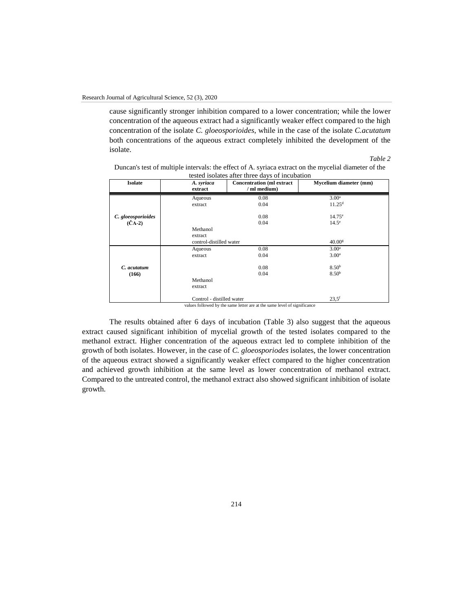cause significantly stronger inhibition compared to a lower concentration; while the lower concentration of the aqueous extract had a significantly weaker effect compared to the high concentration of the isolate *C. gloeosporioides*, while in the case of the isolate *C.acutatum* both concentrations of the aqueous extract completely inhibited the development of the isolate.

*Table 2*

| Duncan's test of multiple intervals: the effect of A. syriaca extract on the mycelial diameter of the |
|-------------------------------------------------------------------------------------------------------|
| tested isolates after three days of incubation                                                        |

| <b>Isolate</b>             | A. syriaca<br>extract     | <b>Concentration</b> (ml extract<br>/ ml medium) | Mycelium diameter (mm) |
|----------------------------|---------------------------|--------------------------------------------------|------------------------|
|                            | Aqueous                   | 0.08                                             | 3.00 <sup>a</sup>      |
|                            | extract                   | 0.04                                             | $11.25^d$              |
| C. gloeosporioides         |                           | 0.08                                             | $14.75^{\circ}$        |
| $(\check{C}\check{A} - 2)$ |                           | 0.04                                             | $14.5^\circ$           |
|                            | Methanol                  |                                                  |                        |
|                            | extract                   |                                                  |                        |
|                            | control-distilled water   |                                                  | 40.00 <sup>g</sup>     |
|                            | Aqueous                   | 0.08                                             | 3.00 <sup>a</sup>      |
|                            | extract                   | 0.04                                             | 3.00 <sup>a</sup>      |
|                            |                           |                                                  |                        |
| C. acutatum                |                           | 0.08                                             | 8.50 <sup>b</sup>      |
| (166)                      |                           | 0.04                                             | $8.50^{b}$             |
|                            | Methanol                  |                                                  |                        |
|                            | extract                   |                                                  |                        |
|                            | Control - distilled water | .                                                | $23.5^{\rm f}$         |

values followed by the same letter are at the same level of significance

The results obtained after 6 days of incubation (Table 3) also suggest that the aqueous extract caused significant inhibition of mycelial growth of the tested isolates compared to the methanol extract. Higher concentration of the aqueous extract led to complete inhibition of the growth of both isolates. However, in the case of *C. gloeosporiodes* isolates, the lower concentration of the aqueous extract showed a significantly weaker effect compared to the higher concentration and achieved growth inhibition at the same level as lower concentration of methanol extract. Compared to the untreated control, the methanol extract also showed significant inhibition of isolate growth.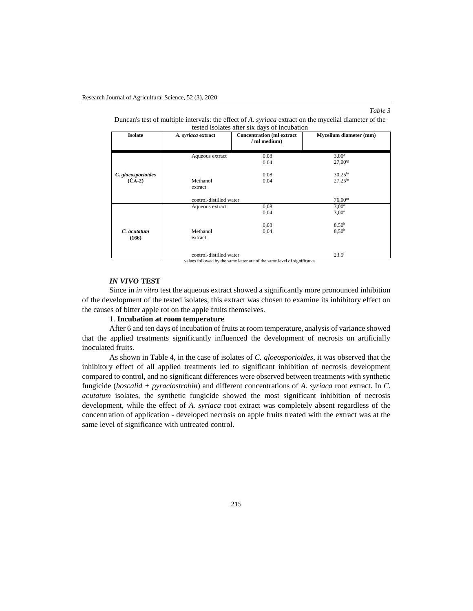# *Table 3*

| Duncan's test of multiple intervals: the effect of A. <i>syriaca</i> extract on the mycelial diameter of the |  |
|--------------------------------------------------------------------------------------------------------------|--|
| tested isolates after six days of incubation                                                                 |  |

| tested horates after six days of incubation |                                                               |                                                                                                                 |                        |  |
|---------------------------------------------|---------------------------------------------------------------|-----------------------------------------------------------------------------------------------------------------|------------------------|--|
| <b>Isolate</b>                              | A. syriaca extract                                            | <b>Concentration (ml extract)</b>                                                                               | Mycelium diameter (mm) |  |
|                                             |                                                               | / ml medium)                                                                                                    |                        |  |
|                                             |                                                               |                                                                                                                 |                        |  |
|                                             |                                                               |                                                                                                                 |                        |  |
|                                             | Aqueous extract                                               | 0.08                                                                                                            | $3,00^a$               |  |
|                                             |                                                               | 0.04                                                                                                            | $27,00$ <sup>fg</sup>  |  |
|                                             |                                                               |                                                                                                                 |                        |  |
| C. gloeosporioides                          |                                                               | 0.08                                                                                                            | 30,25 <sup>hi</sup>    |  |
| $(\check{C}A-2)$                            | Methanol                                                      | 0.04                                                                                                            | $27.25$ <sup>fg</sup>  |  |
|                                             |                                                               |                                                                                                                 |                        |  |
|                                             | extract                                                       |                                                                                                                 |                        |  |
|                                             |                                                               |                                                                                                                 |                        |  |
|                                             | control-distilled water                                       |                                                                                                                 | $76,00^{\rm m}$        |  |
|                                             | Aqueous extract                                               | 0.08                                                                                                            | $3,00^a$               |  |
|                                             |                                                               | 0,04                                                                                                            | $3,00^a$               |  |
|                                             |                                                               |                                                                                                                 |                        |  |
|                                             |                                                               | 0.08                                                                                                            | 8,50 <sup>b</sup>      |  |
| C. acutatum                                 | Methanol                                                      | 0,04                                                                                                            | 8,50 <sup>b</sup>      |  |
| (166)                                       | extract                                                       |                                                                                                                 |                        |  |
|                                             |                                                               |                                                                                                                 |                        |  |
|                                             |                                                               |                                                                                                                 |                        |  |
|                                             |                                                               |                                                                                                                 |                        |  |
|                                             | control-distilled water<br>$1 - 21$ and $11 - 1$ and $11 - 1$ | and the state of the state of the state of the state of the state of the state of the state of the state of the | $23.5^{\rm i}$         |  |

values followed by the same letter are of the same level of significance

# *IN VIVO* **TEST**

Since in *in vitro* test the aqueous extract showed a significantly more pronounced inhibition of the development of the tested isolates, this extract was chosen to examine its inhibitory effect on the causes of bitter apple rot on the apple fruits themselves.

# 1. **Incubation at room temperature**

After 6 and ten days of incubation of fruits at room temperature, analysis of variance showed that the applied treatments significantly influenced the development of necrosis on artificially inoculated fruits.

As shown in Table 4, in the case of isolates of *C. gloeosporioides*, it was observed that the inhibitory effect of all applied treatments led to significant inhibition of necrosis development compared to control, and no significant differences were observed between treatments with synthetic fungicide (*boscalid + pyraclostrobin*) and different concentrations of *A. syriaca* root extract. In *C. acutatum* isolates, the synthetic fungicide showed the most significant inhibition of necrosis development, while the effect of *A. syriaca* root extract was completely absent regardless of the concentration of application - developed necrosis on apple fruits treated with the extract was at the same level of significance with untreated control.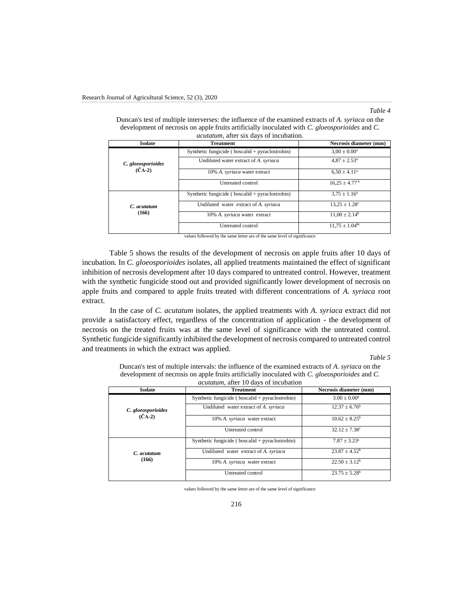#### *Table 4*

| <b>Isolate</b>                                  | <b>Treatment</b>                                    | Necrosis diameter (mm)        |
|-------------------------------------------------|-----------------------------------------------------|-------------------------------|
| C. gloeosporioides<br>$(\check{C}\check{A}$ -2) | Synthetic fungicide ( $boscali$ d + pyraclostrobin) | $3.00 \pm 0.00^a$             |
|                                                 | Undiluted water extract of A. syriaca               | $4.87 \pm 2.53$ <sup>a</sup>  |
|                                                 | 10% A. syriaca water extract                        | $6.50 \pm 4.11^a$             |
|                                                 | Untreated control                                   | $16.25 \pm 4.77^{\mathrm{b}}$ |
|                                                 | Synthetic fungicide ( $boscali$ d + pyraclostrobin) | $3.75 \pm 1.16^a$             |
| C. acutatum<br>(166)                            | Undiluted water extract of A. syriaca               | $13.25 \pm 1.28$ <sup>c</sup> |
|                                                 | 10% A. syriaca water extract                        | $11.00 \pm 2.14^b$            |
|                                                 | Untreated control                                   | $11,75 \pm 1.04^{\rm bc}$     |

Duncan's test of multiple interverses: the influence of the examined extracts of *A. syriaca* on the development of necrosis on apple fruits artificially inoculated with *C. gloeosporioides* and *C. acutatum*, after six days of incubation.

values followed by the same letter are of the same level of significance

Table 5 shows the results of the development of necrosis on apple fruits after 10 days of incubation. In *C. gloeosporioides* isolates, all applied treatments maintained the effect of significant inhibition of necrosis development after 10 days compared to untreated control. However, treatment with the synthetic fungicide stood out and provided significantly lower development of necrosis on apple fruits and compared to apple fruits treated with different concentrations of *A. syriaca* root extract.

In the case of *C. acutatum* isolates, the applied treatments with *A. syriaca* extract did not provide a satisfactory effect, regardless of the concentration of application - the development of necrosis on the treated fruits was at the same level of significance with the untreated control. Synthetic fungicide significantly inhibited the development of necrosis compared to untreated control and treatments in which the extract was applied.

*Table 5*

Duncan's test of multiple intervals: the influence of the examined extracts of *A. syriaca* on the development of necrosis on apple fruits artificially inoculated with *C. gloeosporioides* and *C. acutatum,* after 10 days of incubation

| <b>Isolate</b>                                 | <b>Treatment</b>                                    | Necrosis diameter (mm)   |
|------------------------------------------------|-----------------------------------------------------|--------------------------|
|                                                | Synthetic fungicide ( $boscali$ d + pyraclostrobin) | $3.00 \pm 0.00^a$        |
| C. gloeosporioides<br>$(\check{C}\check{A}-2)$ | Undiluted water extract of A. syriaca               | $12.37 \pm 6.76^b$       |
|                                                | 10% A. syriaca water extract                        | $10.62 \pm 8.25^{\rm b}$ |
|                                                | Untreated control                                   | $32.12 \pm 7.38^c$       |
|                                                | Synthetic fungicide ( $boscali$ d + pyraclostrobin) | $7.87 + 3.23a$           |
| C. acutatum<br>(166)                           | Undiluted water extract of A. syriaca               | $23.87 \pm 4.52^b$       |
|                                                | 10% A. syriaca water extract                        | $22.50 \pm 3.12^b$       |
|                                                | Untreated control                                   | $23.75 \pm 5.28^{\rm b}$ |

values followed by the same letter are of the same level of significance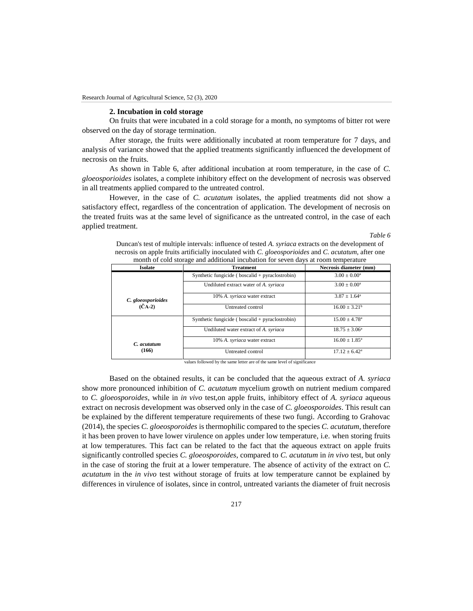#### **2. Incubation in cold storage**

On fruits that were incubated in a cold storage for a month, no symptoms of bitter rot were observed on the day of storage termination.

After storage, the fruits were additionally incubated at room temperature for 7 days, and analysis of variance showed that the applied treatments significantly influenced the development of necrosis on the fruits.

As shown in Table 6, after additional incubation at room temperature, in the case of *C. gloeosporioides* isolates, a complete inhibitory effect on the development of necrosis was observed in all treatments applied compared to the untreated control.

However, in the case of *C. acutatum* isolates, the applied treatments did not show a satisfactory effect, regardless of the concentration of application. The development of necrosis on the treated fruits was at the same level of significance as the untreated control, in the case of each applied treatment.

#### *Table 6*

Duncan's test of multiple intervals: influence of tested *A. syriaca* extracts on the development of necrosis on apple fruits artificially inoculated with *C. gloeosporioides* and *C. acutatum*, after one month of cold storage and additional incubation for seven days at room temperature

| Isolate                                | <b>Treatment</b>                                    | Necrosis diameter (mm)        |
|----------------------------------------|-----------------------------------------------------|-------------------------------|
|                                        | Synthetic fungicide ( $boscali$ d + pyraclostrobin) | $3.00 \pm 0.00^a$             |
|                                        | Undiluted extract water of A. syriaca               | $3.00 + 0.00^a$               |
| C. gloeosporioides<br>$(\check{C}A-2)$ | 10% A. syriaca water extract                        | $3.87 \pm 1.64^{\circ}$       |
|                                        | Untreated control                                   | $16.00 \pm 3.21^b$            |
|                                        | Synthetic fungicide ( $boscali$ d + pyraclostrobin) | $15.00 \pm 4.78$ <sup>a</sup> |
| C. acutatum<br>(166)                   | Undiluted water extract of A. syriaca               | $18.75 \pm 3.06^{\circ}$      |
|                                        | 10% A. syriaca water extract                        | $16.00 \pm 1.85^{\circ}$      |
|                                        | Untreated control                                   | $17.12 \pm 6.42^{\text{a}}$   |

values followed by the same letter are of the same level of significance

Based on the obtained results, it can be concluded that the aqueous extract of *A. syriaca* show more pronounced inhibition of *C. acutatum* mycelium growth on nutrient medium compared to *C. gloeosporoides*, while in *in vivo* test,on apple fruits, inhibitory effect of *A. syriaca* aqueous extract on necrosis development was observed only in the case of *C. gloeosporoides*. This result can be explained by the different temperature requirements of these two fungi. According to Grahovac (2014), the species *C. gloeosporoides* is thermophilic compared to the species *C. acutatum*, therefore it has been proven to have lower virulence on apples under low temperature, i.e. when storing fruits at low temperatures. This fact can be related to the fact that the aqueous extract on apple fruits significantly controlled species *C. gloeosporoides*, compared to *C. acutatum* in *in vivo* test, but only in the case of storing the fruit at a lower temperature. The absence of activity of the extract on *C. acutatum* in the *in vivo* test without storage of fruits at low temperature cannot be explained by differences in virulence of isolates, since in control, untreated variants the diameter of fruit necrosis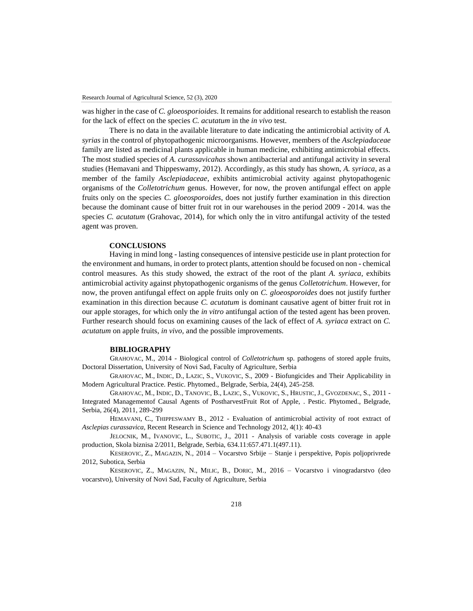was higher in the case of *C. gloeosporioides*. It remains for additional research to establish the reason for the lack of effect on the species *C. acutatum* in the *in vivo* test.

There is no data in the available literature to date indicating the antimicrobial activity of *A. syrias* in the control of phytopathogenic microorganisms. However, members of the *Asclepiadaceae* family are listed as medicinal plants applicable in human medicine, exhibiting antimicrobial effects. The most studied species of *A. curassavicahas* shown antibacterial and antifungal activity in several studies (Hemavani and Thippeswamy, 2012). Accordingly, as this study has shown, *A. syriaca*, as a member of the family *Asclepiadaceae*, exhibits antimicrobial activity against phytopathogenic organisms of the *Colletotrichum* genus. However, for now, the proven antifungal effect on apple fruits only on the species *C. gloeosporoides*, does not justify further examination in this direction because the dominant cause of bitter fruit rot in our warehouses in the period 2009 - 2014. was the species *C. acutatum* (Grahovac, 2014), for which only the in vitro antifungal activity of the tested agent was proven.

## **CONCLUSIONS**

Having in mind long - lasting consequences of intensive pesticide use in plant protection for the environment and humans, in order to protect plants, attention should be focused on non - chemical control measures. As this study showed, the extract of the root of the plant *A. syriaca*, exhibits antimicrobial activity against phytopathogenic organisms of the genus *Colletotrichum*. However, for now, the proven antifungal effect on apple fruits only on *C. gloeosporoides* does not justify further examination in this direction because *C. acutatum* is dominant causative agent of bitter fruit rot in our apple storages, for which only the *in vitro* antifungal action of the tested agent has been proven. Further research should focus on examining causes of the lack of effect of *A. syriaca* extract on *C. acutatum* on apple fruits, *in vivo,* and the possible improvements.

### **BIBLIOGRAPHY**

GRAHOVAC, M., 2014 - Biological control of *Colletotrichum* sp. pathogens of stored apple fruits, Doctoral Dissertation, University of Novi Sad, Faculty of Agriculture, Serbia

GRAHOVAC, M., INDIC, D., LAZIC, S., VUKOVIC, S., 2009 - Biofungicides and Their Applicability in Modern Agricultural Practice. Pestic. Phytomed., Belgrade, Serbia, 24(4), 245-258.

GRAHOVAC, M., INDIC, D., TANOVIC, B., LAZIC, S., VUKOVIC, S., HRUSTIC, J., GVOZDENAC, S., 2011 - Integrated Managementof Causal Agents of PostharvestFruit Rot of Apple, . Pestic. Phytomed., Belgrade, Serbia, 26(4), 2011, 289-299

HEMAVANI, C., THIPPESWAMY B., 2012 - Evaluation of antimicrobial activity of root extract of *Asclepias curassavica*, Recent Research in Science and Technology 2012, 4(1): 40-43

JELOCNIK, M., IVANOVIC, L., SUBOTIC, J., 2011 - Analysis of variable costs coverage in apple production, Skola biznisa 2/2011, Belgrade, Serbia, 634.11:657.471.1(497.11).

KESEROVIC, Z., MAGAZIN, N., 2014 – Vocarstvo Srbije – Stanje i perspektive, Popis poljoprivrede 2012, Subotica, Serbia

KESEROVIC, Z., MAGAZIN, N., MILIC, B., DORIC, M., 2016 – Vocarstvo i vinogradarstvo (deo vocarstvo), University of Novi Sad, Faculty of Agriculture, Serbia